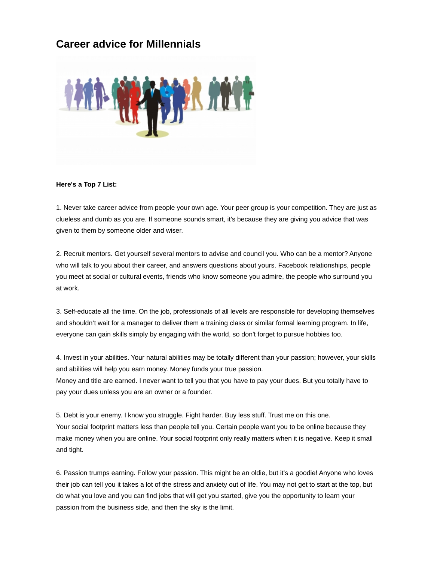## **Career advice for Millennials**



## **Here's a Top 7 List:**

1. Never take career advice from people your own age. Your peer group is your competition. They are just as clueless and dumb as you are. If someone sounds smart, it's because they are giving you advice that was given to them by someone older and wiser.

2. Recruit mentors. Get yourself several mentors to advise and council you. Who can be a mentor? Anyone who will talk to you about their career, and answers questions about yours. Facebook relationships, people you meet at social or cultural events, friends who know someone you admire, the people who surround you at work.

3. Self-educate all the time. On the job, professionals of all levels are responsible for developing themselves and shouldn't wait for a manager to deliver them a training class or similar formal learning program. In life, everyone can gain skills simply by engaging with the world, so don't forget to pursue hobbies too.

4. Invest in your abilities. Your natural abilities may be totally different than your passion; however, your skills and abilities will help you earn money. Money funds your true passion. Money and title are earned. I never want to tell you that you have to pay your dues. But you totally have to pay your dues unless you are an owner or a founder.

5. Debt is your enemy. I know you struggle. Fight harder. Buy less stuff. Trust me on this one. Your social footprint matters less than people tell you. Certain people want you to be online because they make money when you are online. Your social footprint only really matters when it is negative. Keep it small and tight.

6. Passion trumps earning. Follow your passion. This might be an oldie, but it's a goodie! Anyone who loves their job can tell you it takes a lot of the stress and anxiety out of life. You may not get to start at the top, but do what you love and you can find jobs that will get you started, give you the opportunity to learn your passion from the business side, and then the sky is the limit.